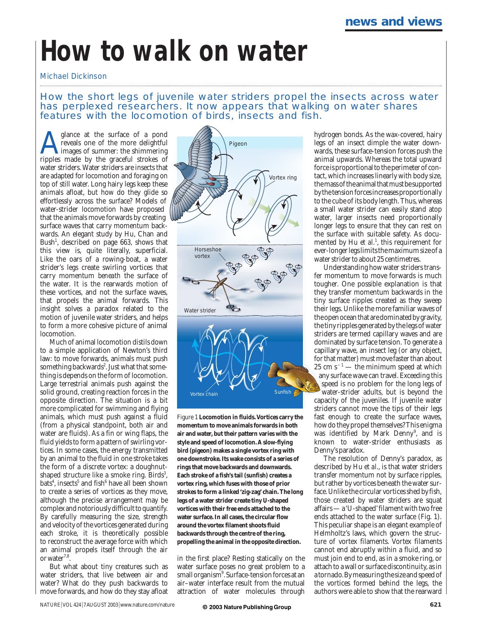## **How to walk on water**

Michael Dickinson

How the short legs of juvenile water striders propel the insects across water has perplexed researchers. It now appears that walking on water shares features with the locomotion of birds, insects and fish.

glance at the surface of a pond reveals one of the more delightful images of summer: the shimmering ripples made by the graceful strokes of water striders. Water striders are insects that are adapted for locomotion and foraging on top of still water. Long hairy legs keep these animals afloat, but how do they glide so effortlessly across the surface? Models of water-strider locomotion have proposed that the animals move forwards by creating surface waves that carry momentum backwards. An elegant study by Hu, Chan and Bush<sup>1</sup>, described on page 663, shows that this view is, quite literally, superficial. Like the oars of a rowing-boat, a water strider's legs create swirling vortices that carry momentum *beneath* the surface of the water. It is the rearwards motion of these vortices, and not the surface waves, that propels the animal forwards. This insight solves a paradox related to the motion of juvenile water striders, and helps to form a more cohesive picture of animal locomotion.

Much of animal locomotion distils down to a simple application of Newton's third law: to move forwards, animals must push something backwards<sup>2</sup>. Just what that something is depends on the form of locomotion. Large terrestrial animals push against the solid ground, creating reaction forces in the opposite direction. The situation is a bit more complicated for swimming and flying animals, which must push against a fluid (from a physical standpoint, both air and water are fluids). As a fin or wing flaps, the fluid yields to form a pattern of swirling vortices. In some cases, the energy transmitted by an animal to the fluid in one stroke takes the form of a discrete vortex: a doughnutshaped structure like a smoke ring. Birds<sup>3</sup>,  $b$ ats<sup>4</sup>, insects<sup>5</sup> and fish<sup>6</sup> have all been shown to create a series of vortices as they move, although the precise arrangement may be complex and notoriously difficult to quantify. By carefully measuring the size, strength and velocity of the vortices generated during each stroke, it is theoretically possible to reconstruct the average force with which an animal propels itself through the air or water $7.8$ .

But what about tiny creatures such as water striders, that live between air and water? What do they push backwards to move forwards, and how do they stay afloat



Figure 1 **Locomotion in fluids. Vortices carry the momentum to move animals forwards in both air and water, but their pattern varies with the style and speed of locomotion. A slow-flying bird (pigeon) makes a single vortex ring with one downstroke. Its wake consists of a series of rings that move backwards and downwards. Each stroke of a fish's tail (sunfish) creates a vortex ring, which fuses with those of prior strokes to form a linked 'zig-zag' chain. The long legs of a water strider create tiny U-shaped vortices with their free ends attached to the water surface. In all cases, the circular flow around the vortex filament shoots fluid backwards through the centre of the ring, propelling the animal in the opposite direction.**

in the first place? Resting statically on the water surface poses no great problem to a small organism<sup>9</sup>. Surface-tension forces at an air–water interface result from the mutual attraction of water molecules through hydrogen bonds. As the wax-covered, hairy legs of an insect dimple the water downwards, these surface-tension forces push the animal upwards. Whereas the total upward force is proportional to the perimeter of contact, which increases linearly with body size, the mass of the animal that must be supported by the tension forces increases proportionally to the cube of its body length. Thus, whereas a small water strider can easily stand atop water, larger insects need proportionally longer legs to ensure that they can rest on the surface with suitable safety. As documented by Hu *et al*. 1 , this requirement for ever-longer legs limits the maximum size of a water strider to about 25 centimetres.

Understanding how water striders transfer momentum to move forwards is much tougher. One possible explanation is that they transfer momentum backwards in the tiny surface ripples created as they sweep their legs. Unlike the more familiar waves of the open ocean that are dominated by gravity, the tiny ripples generated by the legs of water striders are termed capillary waves and are dominated by surface tension. To generate a capillary wave, an insect leg (or any object, for that matter) must move faster than about  $25 \text{ cm s}^{-1}$  — the minimum speed at which any surface wave can travel. Exceeding this speed is no problem for the long legs of water-strider adults, but is beyond the capacity of the juveniles. If juvenile water striders cannot move the tips of their legs fast enough to create the surface waves, how do they propel themselves? This enigma was identified by Mark Denny<sup>9</sup>, and is known to water-strider enthusiasts as Denny's paradox.

The resolution of Denny's paradox, as described by Hu *et al*., is that water striders transfer momentum not by surface ripples, but rather by vortices beneath the water surface. Unlike the circular vortices shed by fish, those created by water striders are squat affairs — a 'U-shaped'filament with two free ends attached to the water surface (Fig. 1). This peculiar shape is an elegant example of Helmholtz's laws, which govern the structure of vortex filaments. Vortex filaments cannot end abruptly within a fluid, and so must join end to end, as in a smoke ring, or attach to a wall or surface discontinuity, as in a tornado.By measuring the size and speed of the vortices formed behind the legs, the authors were able to show that the rearward